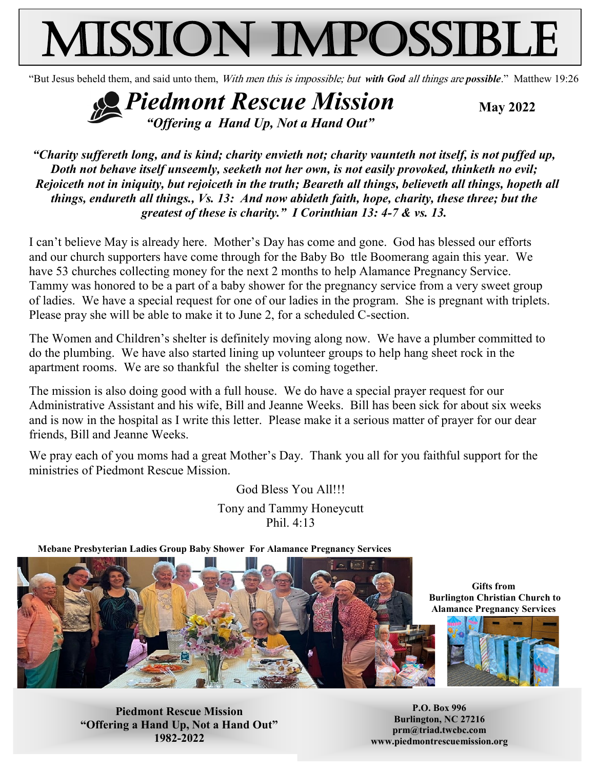# Mission Impossible

"But Jesus beheld them, and said unto them, With men this is impossible; but *with God* all things are *possible*." Matthew 19:26

**Piedmont Rescue Mission** May 2022 *"Offering a Hand Up, Not a Hand Out"*

*"Charity suffereth long, and is kind; charity envieth not; charity vaunteth not itself, is not puffed up, Doth not behave itself unseemly, seeketh not her own, is not easily provoked, thinketh no evil; Rejoiceth not in iniquity, but rejoiceth in the truth; Beareth all things, believeth all things, hopeth all things, endureth all things., Vs. 13: And now abideth faith, hope, charity, these three; but the greatest of these is charity." I Corinthian 13: 4-7 & vs. 13.*

I can't believe May is already here. Mother's Day has come and gone. God has blessed our efforts and our church supporters have come through for the Baby Bo ttle Boomerang again this year. We have 53 churches collecting money for the next 2 months to help Alamance Pregnancy Service. Tammy was honored to be a part of a baby shower for the pregnancy service from a very sweet group of ladies. We have a special request for one of our ladies in the program. She is pregnant with triplets. Please pray she will be able to make it to June 2, for a scheduled C-section.

The Women and Children's shelter is definitely moving along now. We have a plumber committed to do the plumbing. We have also started lining up volunteer groups to help hang sheet rock in the apartment rooms. We are so thankful the shelter is coming together.

The mission is also doing good with a full house. We do have a special prayer request for our Administrative Assistant and his wife, Bill and Jeanne Weeks. Bill has been sick for about six weeks and is now in the hospital as I write this letter. Please make it a serious matter of prayer for our dear friends, Bill and Jeanne Weeks.

We pray each of you moms had a great Mother's Day. Thank you all for you faithful support for the ministries of Piedmont Rescue Mission.

> God Bless You All!!! Tony and Tammy Honeycutt Phil. 4:13

**Mebane Presbyterian Ladies Group Baby Shower For Alamance Pregnancy Services**



**Gifts from Burlington Christian Church to Alamance Pregnancy Services**



**Piedmont Rescue Mission "Offering a Hand Up, Not a Hand Out" 1982-2022**

**P.O. Box 996 Burlington, NC 27216 prm@triad.twcbc.com www.piedmontrescuemission.org**